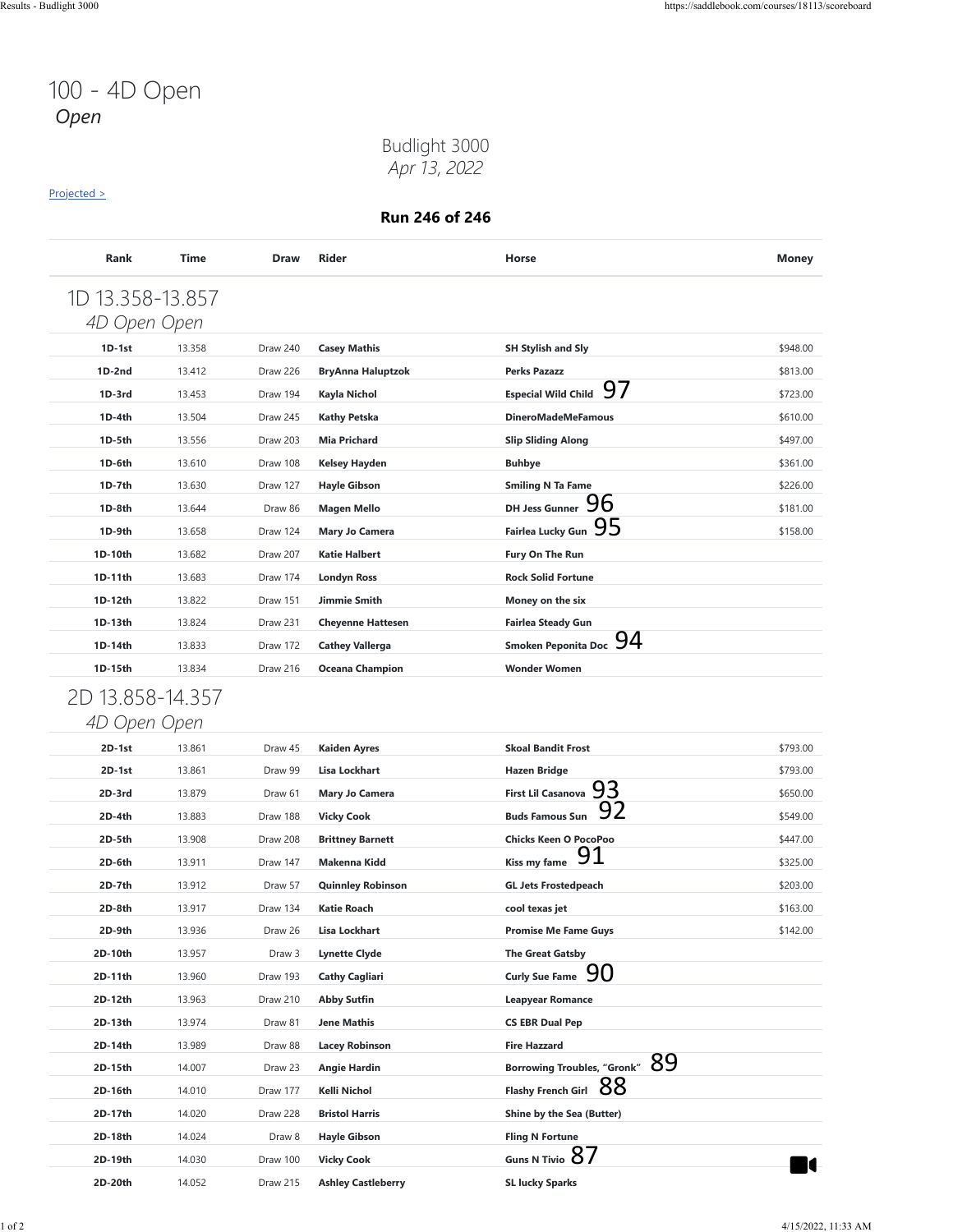### Budlight 3000 *Apr 13, 2022*

#### [Projected >](https://saddlebook.com/courses/18113/scoreboard#payout-projection-18113)

| 1D 13.358-13.857 |        |          |                          |                                          |          |
|------------------|--------|----------|--------------------------|------------------------------------------|----------|
| 4D Open Open     |        |          |                          |                                          |          |
| 1D-1st           | 13.358 | Draw 240 | <b>Casey Mathis</b>      | <b>SH Stylish and Sly</b>                | \$948.00 |
| $1D-2nd$         | 13.412 | Draw 226 | <b>BryAnna Haluptzok</b> | <b>Perks Pazazz</b>                      | \$813.00 |
| $1D-3rd$         | 13.453 | Draw 194 | Kayla Nichol             | 97<br><b>Especial Wild Child</b>         | \$723.00 |
| 1D-4th           | 13.504 | Draw 245 | <b>Kathy Petska</b>      | <b>DineroMadeMeFamous</b>                | \$610.00 |
| 1D-5th           | 13.556 | Draw 203 | <b>Mia Prichard</b>      | <b>Slip Sliding Along</b>                | \$497.00 |
| 1D-6th           | 13.610 | Draw 108 | <b>Kelsey Hayden</b>     | <b>Buhbye</b>                            | \$361.00 |
| 1D-7th           | 13.630 | Draw 127 | <b>Hayle Gibson</b>      | <b>Smiling N Ta Fame</b>                 | \$226.00 |
| 1D-8th           | 13.644 | Draw 86  | <b>Magen Mello</b>       | 96<br><b>DH Jess Gunner</b>              | \$181.00 |
| 1D-9th           | 13.658 | Draw 124 | Mary Jo Camera           | 95<br><b>Fairlea Lucky Gun</b>           | \$158.00 |
| 1D-10th          | 13.682 | Draw 207 | <b>Katie Halbert</b>     | Fury On The Run                          |          |
| 1D-11th          | 13.683 | Draw 174 | <b>Londyn Ross</b>       | <b>Rock Solid Fortune</b>                |          |
| 1D-12th          | 13.822 | Draw 151 | Jimmie Smith             | Money on the six                         |          |
| 1D-13th          | 13.824 | Draw 231 | <b>Cheyenne Hattesen</b> | <b>Fairlea Steady Gun</b>                |          |
| 1D-14th          | 13.833 | Draw 172 | <b>Cathey Vallerga</b>   | 94<br><b>Smoken Peponita Doc</b>         |          |
| 1D-15th          | 13.834 | Draw 216 | <b>Oceana Champion</b>   | <b>Wonder Women</b>                      |          |
| 2D 13.858-14.357 |        |          |                          |                                          |          |
| 4D Open Open     |        |          |                          |                                          |          |
| 2D-1st           | 13.861 | Draw 45  | <b>Kaiden Ayres</b>      | <b>Skoal Bandit Frost</b>                | \$793.00 |
| $2D-1st$         | 13.861 | Draw 99  | <b>Lisa Lockhart</b>     | <b>Hazen Bridge</b>                      | \$793.00 |
| 2D-3rd           | 13.879 | Draw 61  | Mary Jo Camera           | 93<br><b>First Lil Casanova</b>          | \$650.00 |
| $2D-4th$         | 13.883 | Draw 188 | <b>Vicky Cook</b>        | <b>Buds Famous Sun</b>                   | \$549.00 |
| 2D-5th           | 13.908 | Draw 208 | <b>Brittney Barnett</b>  | <b>Chicks Keen O PocoPoo</b>             | \$447.00 |
| 2D-6th           | 13.911 | Draw 147 | <b>Makenna Kidd</b>      | Kiss my fame                             | \$325.00 |
| 2D-7th           | 13.912 | Draw 57  | <b>Quinnley Robinson</b> | <b>GL Jets Frostedpeach</b>              | \$203.00 |
| 2D-8th           | 13.917 | Draw 134 | <b>Katie Roach</b>       | cool texas jet                           | \$163.00 |
| 2D-9th           | 13.936 | Draw 26  | Lisa Lockhart            | <b>Promise Me Fame Guys</b>              | \$142.00 |
| 2D-10th          | 13.957 | Draw 3   | <b>Lynette Clyde</b>     | <b>The Great Gatsby</b>                  |          |
| 2D-11th          | 13.960 | Draw 193 | <b>Cathy Cagliari</b>    | 90<br><b>Curly Sue Fame</b>              |          |
| 2D-12th          | 13.963 | Draw 210 | <b>Abby Sutfin</b>       | <b>Leapyear Romance</b>                  |          |
| 2D-13th          | 13.974 | Draw 81  | <b>Jene Mathis</b>       | <b>CS EBR Dual Pep</b>                   |          |
| 2D-14th          | 13.989 | Draw 88  | <b>Lacey Robinson</b>    | <b>Fire Hazzard</b>                      |          |
| 2D-15th          | 14.007 | Draw 23  | <b>Angie Hardin</b>      | 89<br><b>Borrowing Troubles, "Gronk"</b> |          |
| 2D-16th          | 14.010 | Draw 177 | Kelli Nichol             | Flashy French Girl 88                    |          |
|                  | 14.020 | Draw 228 | <b>Bristol Harris</b>    | <b>Shine by the Sea (Butter)</b>         |          |
| 2D-17th          |        | Draw 8   | <b>Hayle Gibson</b>      | <b>Fling N Fortune</b>                   |          |
| 2D-18th          | 14.024 |          |                          |                                          |          |
| 2D-19th          | 14.030 | Draw 100 | <b>Vicky Cook</b>        | Guns N Tivio $8/$                        |          |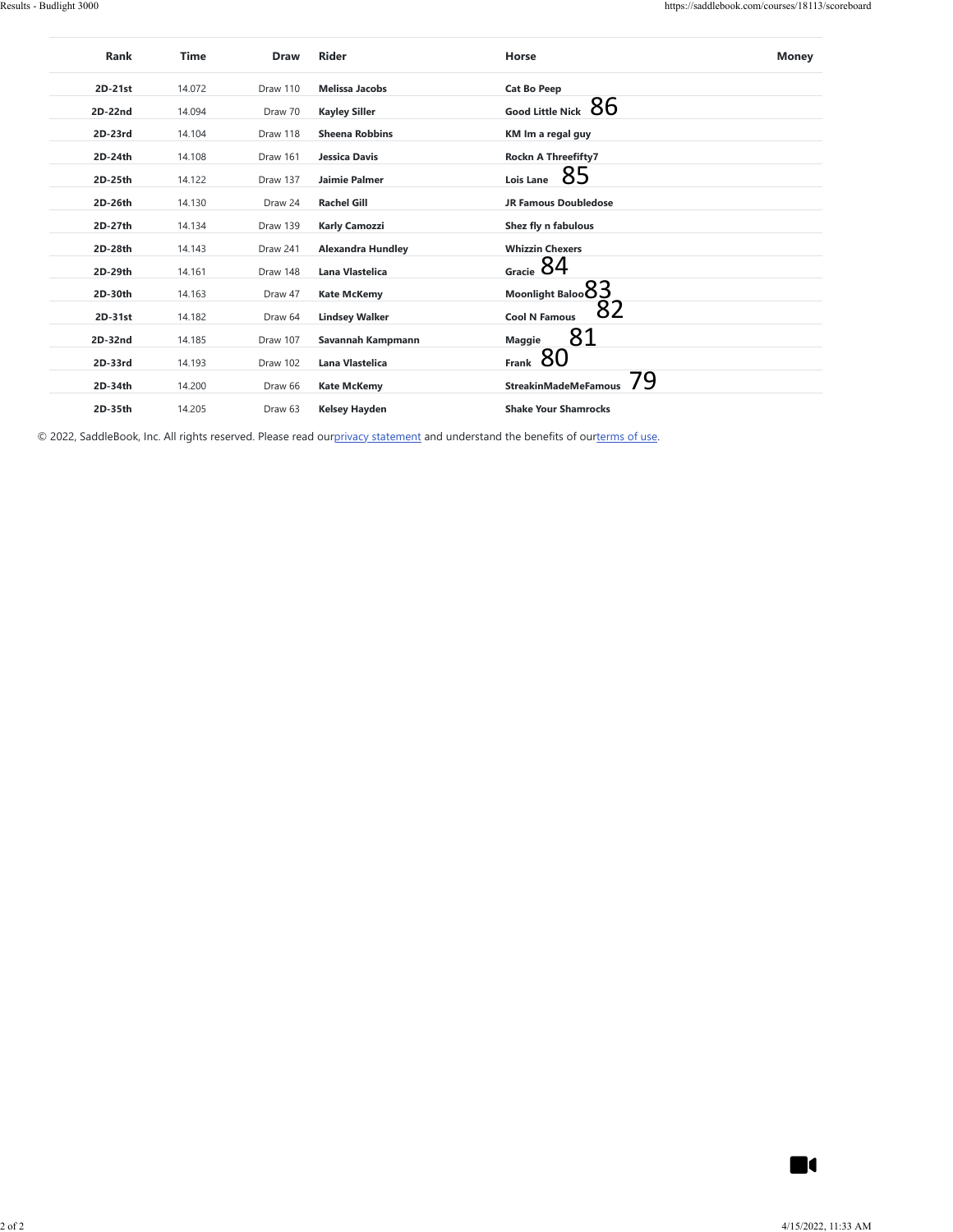| $2D-21st$<br>2D-22nd<br>2D-23rd<br>2D-24th | 14.072 |          |                          |                                                                                                                          |                |
|--------------------------------------------|--------|----------|--------------------------|--------------------------------------------------------------------------------------------------------------------------|----------------|
|                                            |        | Draw 110 | <b>Melissa Jacobs</b>    | <b>Cat Bo Peep</b>                                                                                                       |                |
|                                            | 14.094 | Draw 70  | <b>Kayley Siller</b>     | Good Little Nick $86$                                                                                                    |                |
|                                            | 14.104 | Draw 118 | <b>Sheena Robbins</b>    | KM Im a regal guy                                                                                                        |                |
|                                            | 14.108 | Draw 161 | Jessica Davis            | Rockn A Threefifty7                                                                                                      |                |
| 2D-25th                                    | 14.122 | Draw 137 | Jaimie Palmer            | 85<br>Lois Lane                                                                                                          |                |
| 2D-26th                                    | 14.130 | Draw 24  | <b>Rachel Gill</b>       | <b>JR Famous Doubledose</b>                                                                                              |                |
| 2D-27th                                    | 14.134 | Draw 139 | <b>Karly Camozzi</b>     | Shez fly n fabulous                                                                                                      |                |
| 2D-28th                                    | 14.143 | Draw 241 | <b>Alexandra Hundley</b> | <b>Whizzin Chexers</b>                                                                                                   |                |
| 2D-29th                                    | 14.161 | Draw 148 | Lana Vlastelica          | Gracie $84$                                                                                                              |                |
| 2D-30th                                    | 14.163 | Draw 47  | <b>Kate McKemy</b>       |                                                                                                                          |                |
| $2D-31st$                                  | 14.182 | Draw 64  | <b>Lindsey Walker</b>    | $\begin{matrix} \text{Moonlight Baloo} \text{83} \\ \text{Cool N Famous} \text{82} \end{matrix}$<br><b>Cool N Famous</b> |                |
| 2D-32nd                                    | 14.185 | Draw 107 | Savannah Kampmann        | 81<br>Maggie                                                                                                             |                |
| 2D-33rd                                    | 14.193 | Draw 102 | Lana Vlastelica          | Frank $80$                                                                                                               |                |
| 2D-34th                                    | 14.200 | Draw 66  | <b>Kate McKemy</b>       | 79<br><b>StreakinMadeMeFamous</b>                                                                                        |                |
| 2D-35th                                    | 14.205 | Draw 63  | <b>Kelsey Hayden</b>     | <b>Shake Your Shamrocks</b>                                                                                              |                |
|                                            |        |          |                          |                                                                                                                          |                |
|                                            |        |          |                          |                                                                                                                          |                |
|                                            |        |          |                          |                                                                                                                          |                |
|                                            |        |          |                          |                                                                                                                          |                |
|                                            |        |          |                          |                                                                                                                          |                |
|                                            |        |          |                          |                                                                                                                          |                |
|                                            |        |          |                          |                                                                                                                          |                |
|                                            |        |          |                          |                                                                                                                          |                |
|                                            |        |          |                          |                                                                                                                          |                |
|                                            |        |          |                          |                                                                                                                          |                |
|                                            |        |          |                          |                                                                                                                          |                |
|                                            |        |          |                          |                                                                                                                          |                |
|                                            |        |          |                          |                                                                                                                          |                |
|                                            |        |          |                          |                                                                                                                          |                |
|                                            |        |          |                          |                                                                                                                          |                |
|                                            |        |          |                          |                                                                                                                          |                |
|                                            |        |          |                          |                                                                                                                          |                |
|                                            |        |          |                          |                                                                                                                          |                |
|                                            |        |          |                          |                                                                                                                          |                |
|                                            |        |          |                          |                                                                                                                          |                |
|                                            |        |          |                          |                                                                                                                          |                |
|                                            |        |          |                          |                                                                                                                          |                |
|                                            |        |          |                          |                                                                                                                          |                |
|                                            |        |          |                          |                                                                                                                          |                |
|                                            |        |          |                          |                                                                                                                          |                |
|                                            |        |          |                          |                                                                                                                          |                |
|                                            |        |          |                          |                                                                                                                          |                |
|                                            |        |          |                          |                                                                                                                          |                |
|                                            |        |          |                          |                                                                                                                          | $\blacksquare$ |

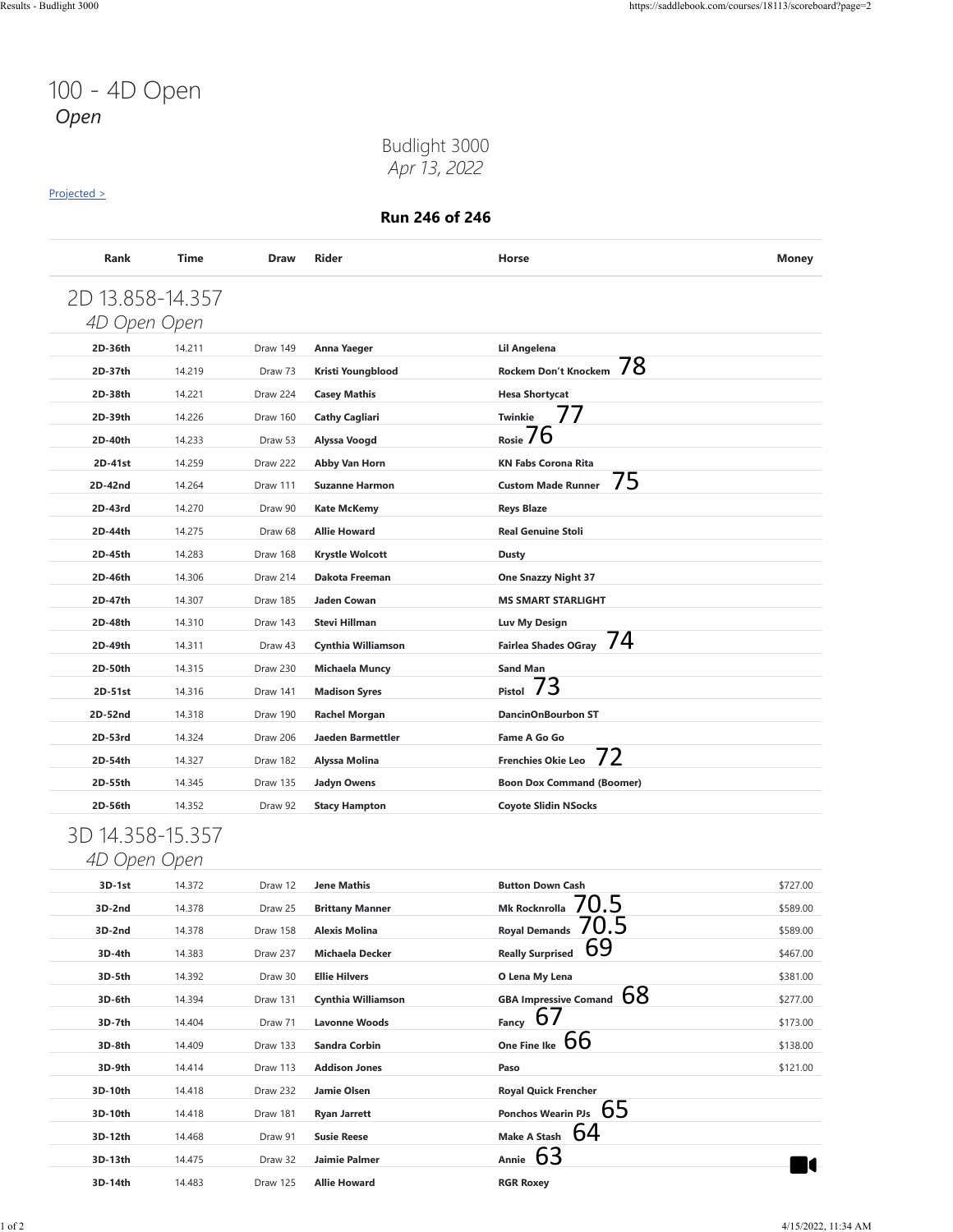### Budlight 3000 *Apr 13, 2022*

#### [Projected >](https://saddlebook.com/courses/18113/scoreboard?page=2#payout-projection-18113)

| 4D Open Open     |        |          |                          |                                   |          |
|------------------|--------|----------|--------------------------|-----------------------------------|----------|
| 2D-36th          | 14.211 | Draw 149 | Anna Yaeger              | Lil Angelena                      |          |
| 2D-37th          | 14.219 | Draw 73  | Kristi Youngblood        | 78<br>Rockem Don't Knockem        |          |
| 2D-38th          | 14.221 | Draw 224 | <b>Casey Mathis</b>      | <b>Hesa Shortycat</b>             |          |
| 2D-39th          | 14.226 | Draw 160 | <b>Cathy Cagliari</b>    | 77<br><b>Twinkie</b>              |          |
| 2D-40th          | 14.233 | Draw 53  | Alyssa Voogd             | O<br>Rosie /                      |          |
| 2D-41st          | 14.259 | Draw 222 | Abby Van Horn            | <b>KN Fabs Corona Rita</b>        |          |
| 2D-42nd          | 14.264 | Draw 111 | <b>Suzanne Harmon</b>    | 75<br><b>Custom Made Runner</b>   |          |
| 2D-43rd          | 14.270 | Draw 90  | <b>Kate McKemy</b>       | <b>Reys Blaze</b>                 |          |
| 2D-44th          | 14.275 | Draw 68  | <b>Allie Howard</b>      | <b>Real Genuine Stoli</b>         |          |
| 2D-45th          | 14.283 | Draw 168 | <b>Krystle Wolcott</b>   | <b>Dusty</b>                      |          |
| 2D-46th          | 14.306 | Draw 214 | Dakota Freeman           | <b>One Snazzy Night 37</b>        |          |
| 2D-47th          | 14.307 | Draw 185 | Jaden Cowan              | <b>MS SMART STARLIGHT</b>         |          |
| 2D-48th          | 14.310 | Draw 143 | Stevi Hillman            | Luv My Design                     |          |
| 2D-49th          | 14.311 | Draw 43  | Cynthia Williamson       | 74<br><b>Fairlea Shades OGray</b> |          |
| 2D-50th          | 14.315 | Draw 230 | <b>Michaela Muncy</b>    | <b>Sand Man</b>                   |          |
| 2D-51st          | 14.316 | Draw 141 | <b>Madison Syres</b>     | 3<br>Pistol                       |          |
| 2D-52nd          | 14.318 | Draw 190 | <b>Rachel Morgan</b>     | <b>DancinOnBourbon ST</b>         |          |
| 2D-53rd          | 14.324 | Draw 206 | <b>Jaeden Barmettler</b> | Fame A Go Go                      |          |
| 2D-54th          | 14.327 | Draw 182 | Alyssa Molina            | 72<br><b>Frenchies Okie Leo</b>   |          |
| 2D-55th          | 14.345 | Draw 135 | <b>Jadyn Owens</b>       | <b>Boon Dox Command (Boomer)</b>  |          |
| 2D-56th          | 14.352 | Draw 92  | <b>Stacy Hampton</b>     | <b>Coyote Slidin NSocks</b>       |          |
| 3D 14.358-15.357 |        |          |                          |                                   |          |
| 4D Open Open     |        |          |                          |                                   |          |
| 3D-1st           | 14.372 | Draw 12  | <b>Jene Mathis</b>       | <b>Button Down Cash</b>           | \$727.00 |
| 3D-2nd           | 14.378 | Draw 25  | <b>Brittany Manner</b>   | .b<br><b>Mk Rocknrolla</b>        | \$589.00 |
| 3D-2nd           | 14.378 | Draw 158 | <b>Alexis Molina</b>     | .b<br><b>Royal Demands</b>        | \$589.00 |
| 3D-4th           | 14.383 | Draw 237 | <b>Michaela Decker</b>   | 69<br><b>Really Surprised</b>     | \$467.00 |
| 3D-5th           | 14.392 | Draw 30  | <b>Ellie Hilvers</b>     | O Lena My Lena                    | \$381.00 |
| 3D-6th           | 14.394 | Draw 131 | Cynthia Williamson       | GBA Impressive Comand $68$        | \$277.00 |
| 3D-7th           | 14.404 | Draw 71  | <b>Lavonne Woods</b>     | Fancy $67$                        | \$173.00 |
| 3D-8th           | 14.409 | Draw 133 | <b>Sandra Corbin</b>     | One Fine Ike $66$                 | \$138.00 |
|                  | 14.414 | Draw 113 | <b>Addison Jones</b>     | Paso                              | \$121.00 |
| 3D-9th           | 14.418 | Draw 232 | Jamie Olsen              | <b>Royal Quick Frencher</b>       |          |
| 3D-10th          |        |          | <b>Ryan Jarrett</b>      | Ponchos Wearin PJs $65$           |          |
| 3D-10th          | 14.418 | Draw 181 |                          |                                   |          |
| 3D-12th          | 14.468 | Draw 91  | <b>Susie Reese</b>       | Make A Stash $64$                 |          |
| 3D-13th          | 14.475 | Draw 32  | Jaimie Palmer            | Annie 63                          | - 0      |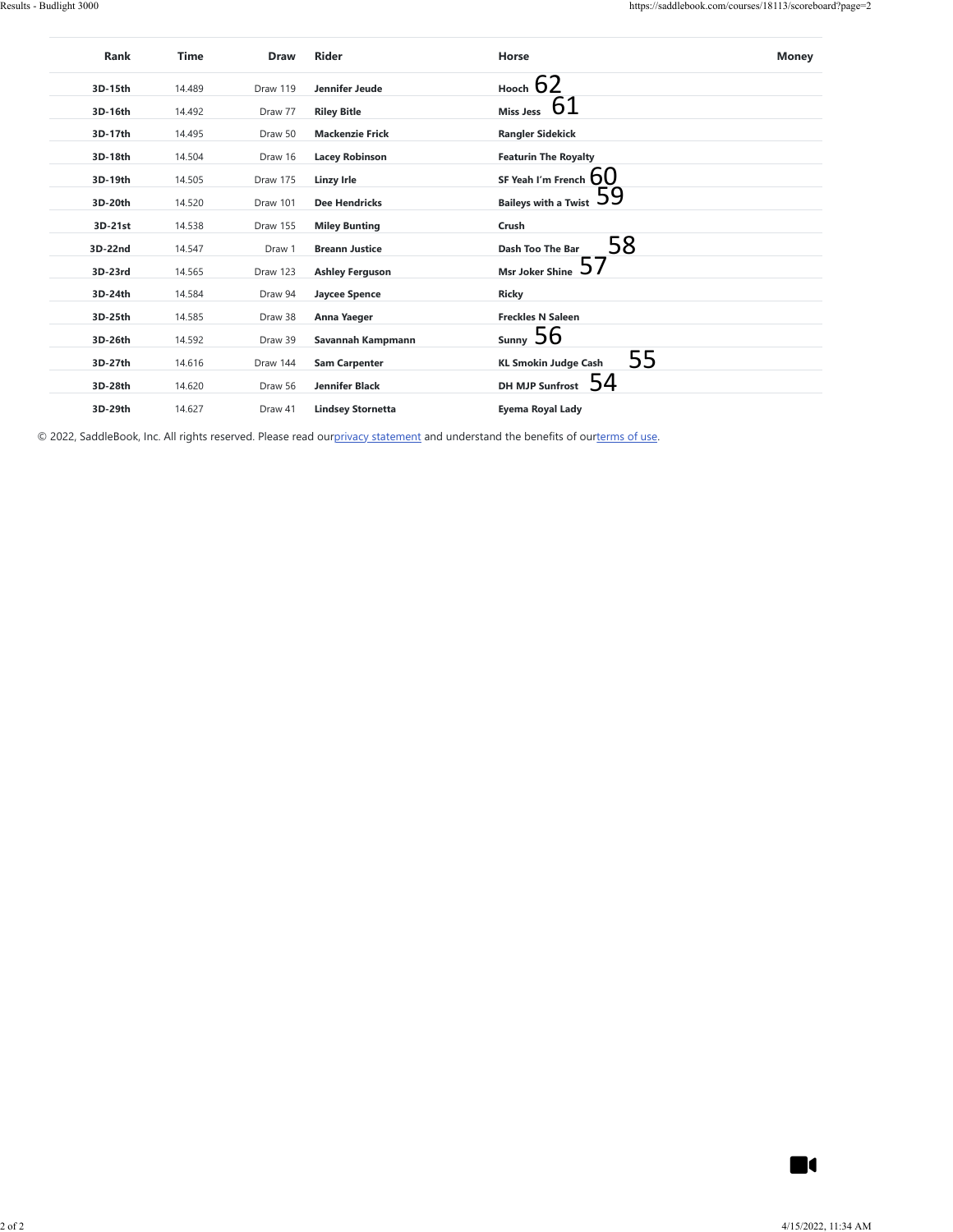| 3D-15th            | 14.489           | Draw 119           | Jennifer Jeude           | Hooch $62$                        |                |
|--------------------|------------------|--------------------|--------------------------|-----------------------------------|----------------|
| 3D-16th            | 14.492           | Draw 77            | <b>Riley Bitle</b>       | Miss Jess $61$                    |                |
| 3D-17th            | 14.495           | Draw 50            | <b>Mackenzie Frick</b>   | <b>Rangler Sidekick</b>           |                |
| 3D-18th            | 14.504           | Draw 16            | <b>Lacey Robinson</b>    | <b>Featurin The Royalty</b>       |                |
| 3D-19th            | 14.505           | Draw 175           | <b>Linzy Irle</b>        | SF Yeah I'm French $60$           |                |
| 3D-20th            | 14.520           | Draw 101           | <b>Dee Hendricks</b>     | Baileys with a Twist $\,59$       |                |
| 3D-21st            | 14.538           | Draw 155           | <b>Miley Bunting</b>     | $\ensuremath{\mathsf{Crush}}$     |                |
| 3D-22nd            | 14.547           | Draw 1             | <b>Breann Justice</b>    | 58<br>Dash Too The Bar            |                |
| 3D-23rd            | 14.565           | Draw 123           | <b>Ashley Ferguson</b>   | Msr Joker Shine $57$              |                |
| 3D-24th            | 14.584           | Draw 94            | <b>Jaycee Spence</b>     | Ricky                             |                |
| 3D-25th            | 14.585           | Draw 38            | Anna Yaeger              | <b>Freckles N Saleen</b>          |                |
| 3D-26th            | 14.592           | Draw 39            | Savannah Kampmann        | sumy 56                           |                |
| 3D-27th            | 14.616           | Draw 144           | <b>Sam Carpenter</b>     | 55<br><b>KL Smokin Judge Cash</b> |                |
|                    |                  |                    | Jennifer Black           | DH MJP Sunfrost 54                |                |
| 3D-28th<br>3D-29th | 14.620<br>14.627 | Draw 56<br>Draw 41 | <b>Lindsey Stornetta</b> | Eyema Royal Lady                  |                |
|                    |                  |                    |                          |                                   |                |
|                    |                  |                    |                          |                                   |                |
|                    |                  |                    |                          |                                   |                |
|                    |                  |                    |                          |                                   |                |
|                    |                  |                    |                          |                                   |                |
|                    |                  |                    |                          |                                   |                |
|                    |                  |                    |                          |                                   |                |
|                    |                  |                    |                          |                                   |                |
|                    |                  |                    |                          |                                   |                |
|                    |                  |                    |                          |                                   |                |
|                    |                  |                    |                          |                                   |                |
|                    |                  |                    |                          |                                   |                |
|                    |                  |                    |                          |                                   |                |
|                    |                  |                    |                          |                                   |                |
|                    |                  |                    |                          |                                   |                |
|                    |                  |                    |                          |                                   |                |
|                    |                  |                    |                          |                                   |                |
|                    |                  |                    |                          |                                   |                |
|                    |                  |                    |                          |                                   |                |
|                    |                  |                    |                          |                                   |                |
|                    |                  |                    |                          |                                   |                |
|                    |                  |                    |                          |                                   |                |
|                    |                  |                    |                          |                                   |                |
|                    |                  |                    |                          |                                   |                |
|                    |                  |                    |                          |                                   |                |
|                    |                  |                    |                          |                                   | $\blacksquare$ |

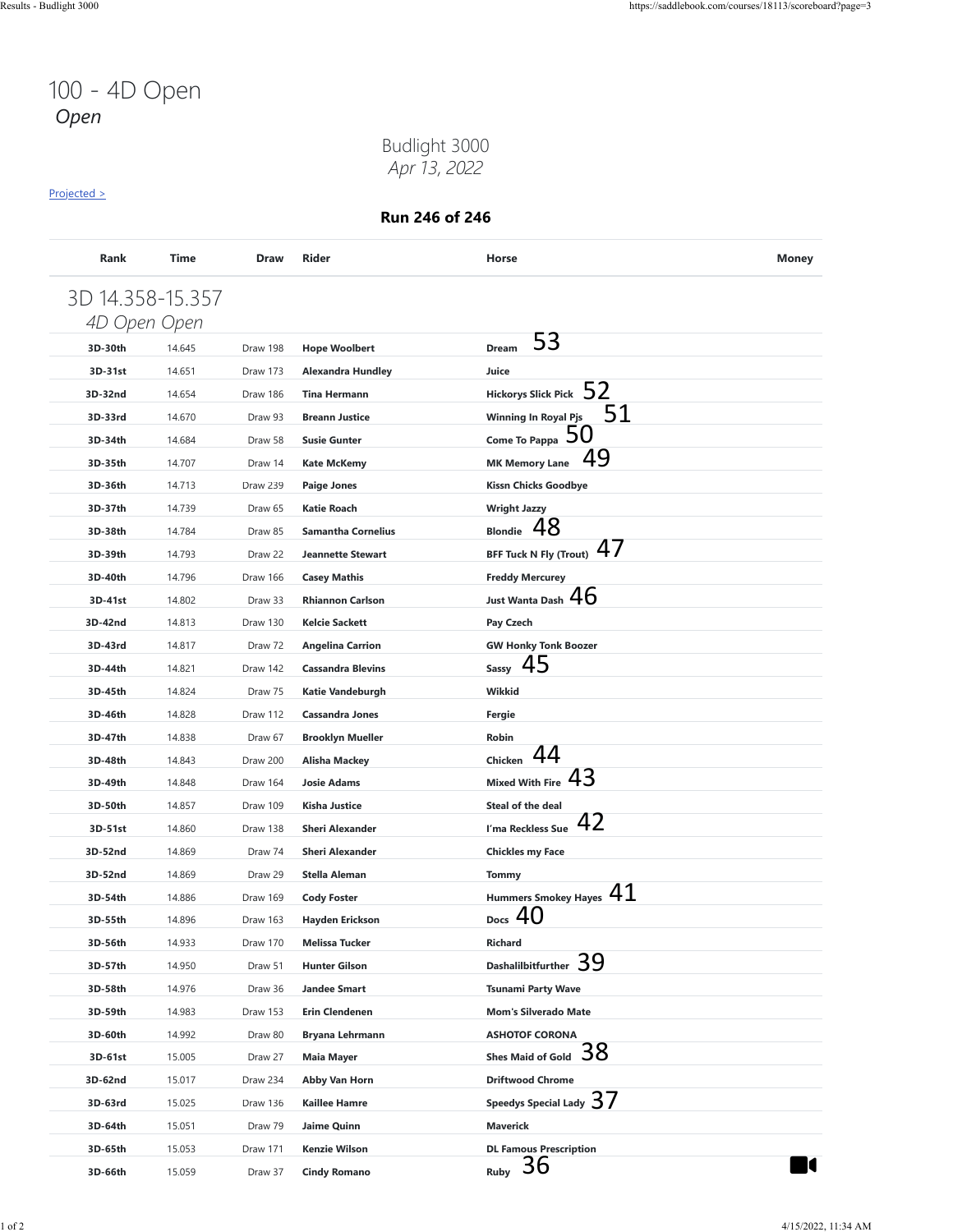### Budlight 3000 *Apr 13, 2022*

#### [Projected >](https://saddlebook.com/courses/18113/scoreboard?page=3#payout-projection-18113)

| 3D 14.358-15.357 |        |          |                           |                                     |  |
|------------------|--------|----------|---------------------------|-------------------------------------|--|
| 4D Open Open     |        |          |                           |                                     |  |
| 3D-30th          | 14.645 | Draw 198 | <b>Hope Woolbert</b>      | 53<br><b>Dream</b>                  |  |
| 3D-31st          | 14.651 | Draw 173 | <b>Alexandra Hundley</b>  | Juice                               |  |
| 3D-32nd          | 14.654 | Draw 186 | <b>Tina Hermann</b>       | Hickorys Slick Pick $\,$ 52         |  |
| 3D-33rd          | 14.670 | Draw 93  | <b>Breann Justice</b>     | 51<br><b>Winning In Royal Pjs</b>   |  |
| 3D-34th          | 14.684 | Draw 58  | <b>Susie Gunter</b>       | Come To Pappa $50$                  |  |
| 3D-35th          | 14.707 | Draw 14  | <b>Kate McKemy</b>        | 49<br><b>MK Memory Lane</b>         |  |
| 3D-36th          | 14.713 | Draw 239 | <b>Paige Jones</b>        | <b>Kissn Chicks Goodbye</b>         |  |
| 3D-37th          | 14.739 | Draw 65  | <b>Katie Roach</b>        | <b>Wright Jazzy</b>                 |  |
| 3D-38th          | 14.784 | Draw 85  | <b>Samantha Cornelius</b> | 48<br><b>Blondie</b>                |  |
| 3D-39th          | 14.793 | Draw 22  | <b>Jeannette Stewart</b>  | 47<br><b>BFF Tuck N Fly (Trout)</b> |  |
| 3D-40th          | 14.796 | Draw 166 | <b>Casey Mathis</b>       | <b>Freddy Mercurey</b>              |  |
| 3D-41st          | 14.802 | Draw 33  | <b>Rhiannon Carlson</b>   | Just Wanta Dash $46$                |  |
| 3D-42nd          | 14.813 | Draw 130 | <b>Kelcie Sackett</b>     | Pay Czech                           |  |
| 3D-43rd          | 14.817 | Draw 72  | <b>Angelina Carrion</b>   | <b>GW Honky Tonk Boozer</b>         |  |
| 3D-44th          | 14.821 | Draw 142 | <b>Cassandra Blevins</b>  | 45<br>Sassy                         |  |
| 3D-45th          | 14.824 | Draw 75  | Katie Vandeburgh          | Wikkid                              |  |
| 3D-46th          | 14.828 | Draw 112 | <b>Cassandra Jones</b>    | Fergie                              |  |
| 3D-47th          | 14.838 | Draw 67  | <b>Brooklyn Mueller</b>   | Robin                               |  |
| 3D-48th          | 14.843 | Draw 200 | <b>Alisha Mackey</b>      | 44<br>Chicken                       |  |
| 3D-49th          | 14.848 | Draw 164 | <b>Josie Adams</b>        | 43<br><b>Mixed With Fire</b>        |  |
| 3D-50th          | 14.857 | Draw 109 | Kisha Justice             | Steal of the deal                   |  |
| 3D-51st          | 14.860 | Draw 138 | <b>Sheri Alexander</b>    | 42<br>I'ma Reckless Sue             |  |
| 3D-52nd          | 14.869 | Draw 74  | <b>Sheri Alexander</b>    | <b>Chickles my Face</b>             |  |
| 3D-52nd          | 14.869 | Draw 29  | <b>Stella Aleman</b>      | <b>Tommy</b>                        |  |
| 3D-54th          | 14.886 | Draw 169 | <b>Cody Foster</b>        | Hummers Smokey Hayes $41$           |  |
| 3D-55th          | 14.896 | Draw 163 | <b>Hayden Erickson</b>    | Docs $40$                           |  |
| 3D-56th          | 14.933 | Draw 170 | <b>Melissa Tucker</b>     | Richard                             |  |
| 3D-57th          | 14.950 | Draw 51  | <b>Hunter Gilson</b>      | Dashalilbitfurther 39               |  |
| 3D-58th          | 14.976 | Draw 36  | <b>Jandee Smart</b>       | <b>Tsunami Party Wave</b>           |  |
| 3D-59th          | 14.983 | Draw 153 | <b>Erin Clendenen</b>     | <b>Mom's Silverado Mate</b>         |  |
| 3D-60th          | 14.992 | Draw 80  | Bryana Lehrmann           | <b>ASHOTOF CORONA</b>               |  |
| 3D-61st          | 15.005 | Draw 27  | Maia Mayer                | 38<br><b>Shes Maid of Gold</b>      |  |
| 3D-62nd          | 15.017 | Draw 234 | Abby Van Horn             | <b>Driftwood Chrome</b>             |  |
| 3D-63rd          | 15.025 | Draw 136 | <b>Kaillee Hamre</b>      | Speedys Special Lady $37$           |  |
| 3D-64th          | 15.051 | Draw 79  | Jaime Quinn               | <b>Maverick</b>                     |  |
| 3D-65th          | 15.053 | Draw 171 | Kenzie Wilson             | <b>DL Famous Prescription</b>       |  |
| 3D-66th          | 15.059 | Draw 37  | <b>Cindy Romano</b>       | 36<br>Ruby                          |  |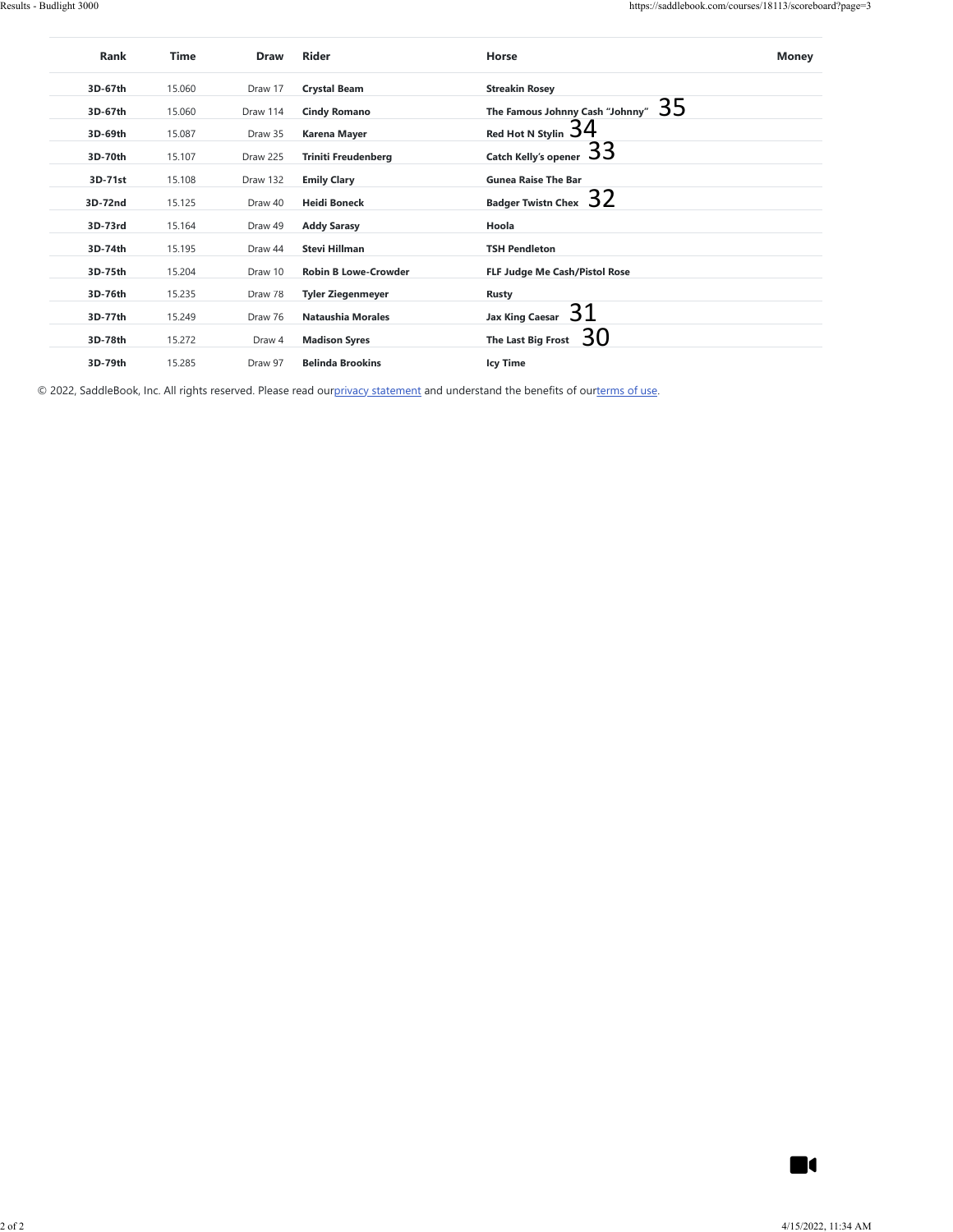| 3D-67th |        | Draw     | Rider                       | Horse                                | <b>Money</b>   |
|---------|--------|----------|-----------------------------|--------------------------------------|----------------|
|         | 15.060 | Draw 17  | <b>Crystal Beam</b>         | <b>Streakin Rosey</b>                |                |
| 3D-67th | 15.060 | Draw 114 | <b>Cindy Romano</b>         | The Famous Johnny Cash "Johnny" $35$ |                |
| 3D-69th | 15.087 | Draw 35  | Karena Mayer                | Red Hot N Stylin $34$                |                |
| 3D-70th | 15.107 | Draw 225 | <b>Triniti Freudenberg</b>  | Catch Kelly's opener $33$            |                |
| 3D-71st | 15.108 | Draw 132 | <b>Emily Clary</b>          | <b>Gunea Raise The Bar</b>           |                |
| 3D-72nd | 15.125 | Draw 40  | <b>Heidi Boneck</b>         | Badger Twistn Chex $32$              |                |
| 3D-73rd | 15.164 | Draw 49  | <b>Addy Sarasy</b>          | Hoola                                |                |
| 3D-74th | 15.195 | Draw 44  | Stevi Hillman               | <b>TSH Pendleton</b>                 |                |
| 3D-75th | 15.204 | Draw 10  | <b>Robin B Lowe-Crowder</b> | FLF Judge Me Cash/Pistol Rose        |                |
| 3D-76th | 15.235 | Draw 78  | <b>Tyler Ziegenmeyer</b>    | <b>Rusty</b>                         |                |
| 3D-77th | 15.249 | Draw 76  | Nataushia Morales           | Jax King Caesar $31$                 |                |
| 3D-78th | 15.272 | Draw 4   | <b>Madison Syres</b>        | 30<br>The Last Big Frost             |                |
|         |        |          |                             |                                      |                |
| 3D-79th | 15.285 | Draw 97  | <b>Belinda Brookins</b>     | <b>Icy Time</b>                      |                |
|         |        |          |                             |                                      |                |
|         |        |          |                             |                                      |                |
|         |        |          |                             |                                      |                |
|         |        |          |                             |                                      |                |
|         |        |          |                             |                                      |                |
|         |        |          |                             |                                      |                |
|         |        |          |                             |                                      |                |
|         |        |          |                             |                                      |                |
|         |        |          |                             |                                      |                |
|         |        |          |                             |                                      |                |
|         |        |          |                             |                                      |                |
|         |        |          |                             |                                      |                |
|         |        |          |                             |                                      |                |
|         |        |          |                             |                                      |                |
|         |        |          |                             |                                      |                |
|         |        |          |                             |                                      |                |
|         |        |          |                             |                                      |                |
|         |        |          |                             |                                      |                |
|         |        |          |                             |                                      |                |
|         |        |          |                             |                                      |                |
|         |        |          |                             |                                      |                |
|         |        |          |                             |                                      |                |
|         |        |          |                             |                                      |                |
|         |        |          |                             |                                      |                |
|         |        |          |                             |                                      |                |
|         |        |          |                             |                                      |                |
|         |        |          |                             |                                      |                |
|         |        |          |                             |                                      |                |
|         |        |          |                             |                                      |                |
|         |        |          |                             |                                      | $\blacksquare$ |

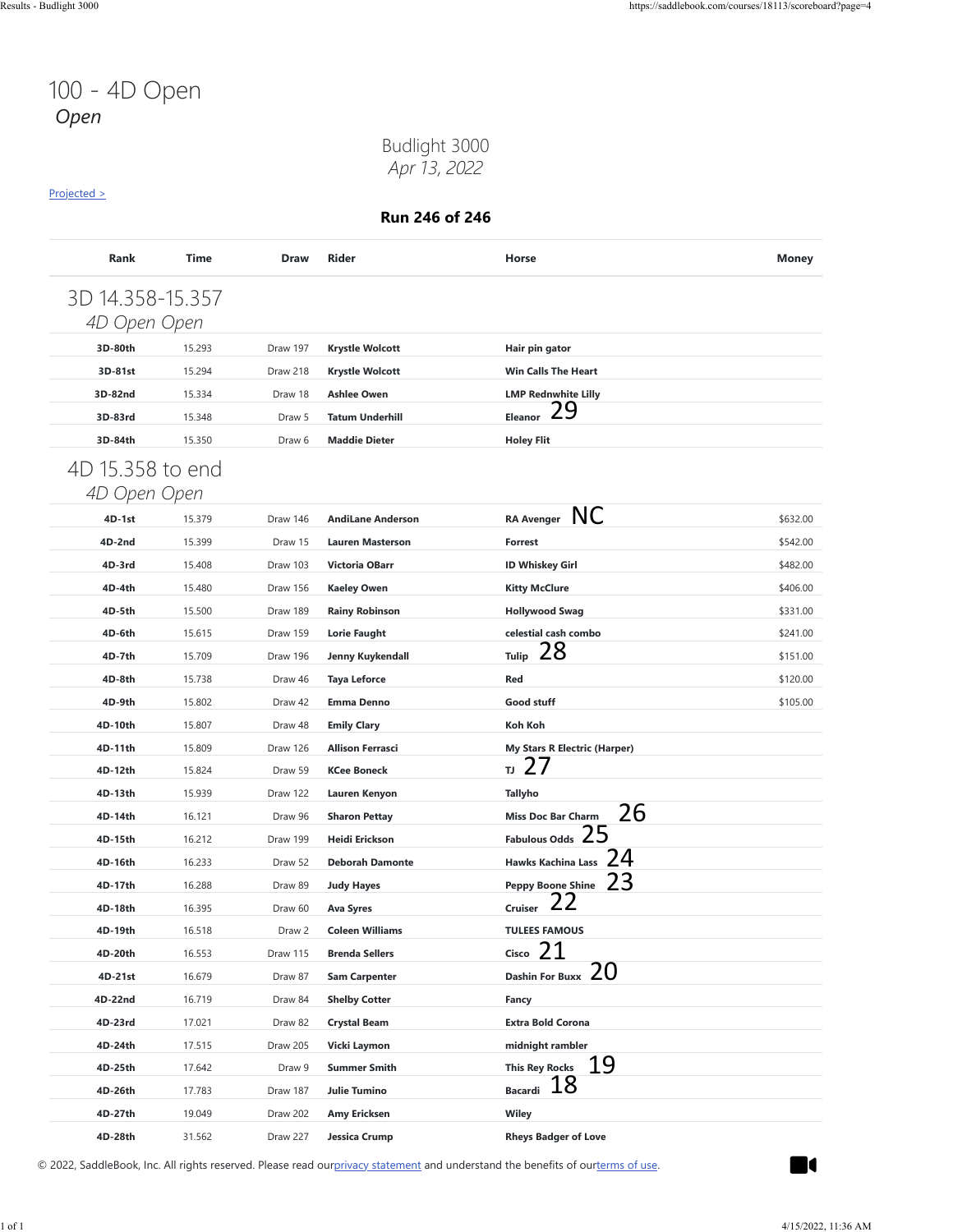### Budlight 3000 *Apr 13, 2022*

#### [Projected >](https://saddlebook.com/courses/18113/scoreboard?page=4#payout-projection-18113)

**Run 246 of 246**

| 4D Open Open     | 3D 14.358-15.357 |          |                          |                                     |          |
|------------------|------------------|----------|--------------------------|-------------------------------------|----------|
| 3D-80th          | 15.293           | Draw 197 | <b>Krystle Wolcott</b>   | Hair pin gator                      |          |
| 3D-81st          | 15.294           | Draw 218 | <b>Krystle Wolcott</b>   | <b>Win Calls The Heart</b>          |          |
| 3D-82nd          | 15.334           | Draw 18  | <b>Ashlee Owen</b>       | <b>LMP Rednwhite Lilly</b>          |          |
| 3D-83rd          | 15.348           | Draw 5   | <b>Tatum Underhill</b>   | 29<br>Eleanor                       |          |
| 3D-84th          | 15.350           | Draw 6   | <b>Maddie Dieter</b>     | <b>Holey Flit</b>                   |          |
| 4D 15.358 to end |                  |          |                          |                                     |          |
| 4D Open Open     |                  |          |                          |                                     |          |
| $4D-1st$         | 15.379           | Draw 146 | <b>AndiLane Anderson</b> | RA Avenger NC                       | \$632.00 |
| 4D-2nd           | 15.399           | Draw 15  | <b>Lauren Masterson</b>  | <b>Forrest</b>                      | \$542.00 |
| 4D-3rd           | 15.408           | Draw 103 | <b>Victoria OBarr</b>    | <b>ID Whiskey Girl</b>              | \$482.00 |
| 4D-4th           | 15.480           | Draw 156 | <b>Kaeley Owen</b>       | <b>Kitty McClure</b>                | \$406.00 |
| 4D-5th           | 15.500           | Draw 189 | <b>Rainy Robinson</b>    | <b>Hollywood Swag</b>               | \$331.00 |
| 4D-6th           | 15.615           | Draw 159 | <b>Lorie Faught</b>      | celestial cash combo                | \$241.00 |
| 4D-7th           | 15.709           | Draw 196 | Jenny Kuykendall         | 28<br><b>Tulip</b>                  | \$151.00 |
| 4D-8th           | 15.738           | Draw 46  | <b>Taya Leforce</b>      | Red                                 | \$120.00 |
| 4D-9th           | 15.802           | Draw 42  | <b>Emma Denno</b>        | Good stuff                          | \$105.00 |
| 4D-10th          | 15.807           | Draw 48  | <b>Emily Clary</b>       | Koh Koh                             |          |
| 4D-11th          | 15.809           | Draw 126 | <b>Allison Ferrasci</b>  | <b>My Stars R Electric (Harper)</b> |          |
| 4D-12th          | 15.824           | Draw 59  | <b>KCee Boneck</b>       | 27<br>IJ                            |          |
| 4D-13th          | 15.939           | Draw 122 | Lauren Kenyon            | <b>Tallyho</b>                      |          |
| 4D-14th          | 16.121           | Draw 96  | <b>Sharon Pettay</b>     | 26<br><b>Miss Doc Bar Charm</b>     |          |
| 4D-15th          | 16.212           | Draw 199 | Heidi Erickson           | <b>Fabulous Odds</b>                |          |
| 4D-16th          | 16.233           | Draw 52  | <b>Deborah Damonte</b>   | 24<br><b>Hawks Kachina Lass</b>     |          |
| 4D-17th          | 16.288           | Draw 89  | <b>Judy Hayes</b>        | Peppy Boone Shine $23$              |          |
| 4D-18th          | 16.395           | Draw 60  | Ava Syres                | <b>Cruiser</b>                      |          |
| 4D-19th          | 16.518           | Draw 2   | <b>Coleen Williams</b>   | <b>TULEES FAMOUS</b>                |          |
| 4D-20th          | 16.553           | Draw 115 | <b>Brenda Sellers</b>    | 21<br>Cisco                         |          |
| 4D-21st          | 16.679           | Draw 87  | <b>Sam Carpenter</b>     | 20<br><b>Dashin For Buxx</b>        |          |
| 4D-22nd          | 16.719           | Draw 84  | <b>Shelby Cotter</b>     | Fancy                               |          |
| 4D-23rd          | 17.021           | Draw 82  | <b>Crystal Beam</b>      | <b>Extra Bold Corona</b>            |          |
| 4D-24th          | 17.515           | Draw 205 | Vicki Laymon             | midnight rambler                    |          |
| 4D-25th          | 17.642           | Draw 9   | <b>Summer Smith</b>      | <u> 19</u><br><b>This Rey Rocks</b> |          |
| 4D-26th          | 17.783           | Draw 187 | <b>Julie Tumino</b>      | Bacardi 18                          |          |
| 4D-27th          | 19.049           | Draw 202 | Amy Ericksen             | Wiley                               |          |
| 4D-28th          | 31.562           | Draw 227 | Jessica Crump            | <b>Rheys Badger of Love</b>         |          |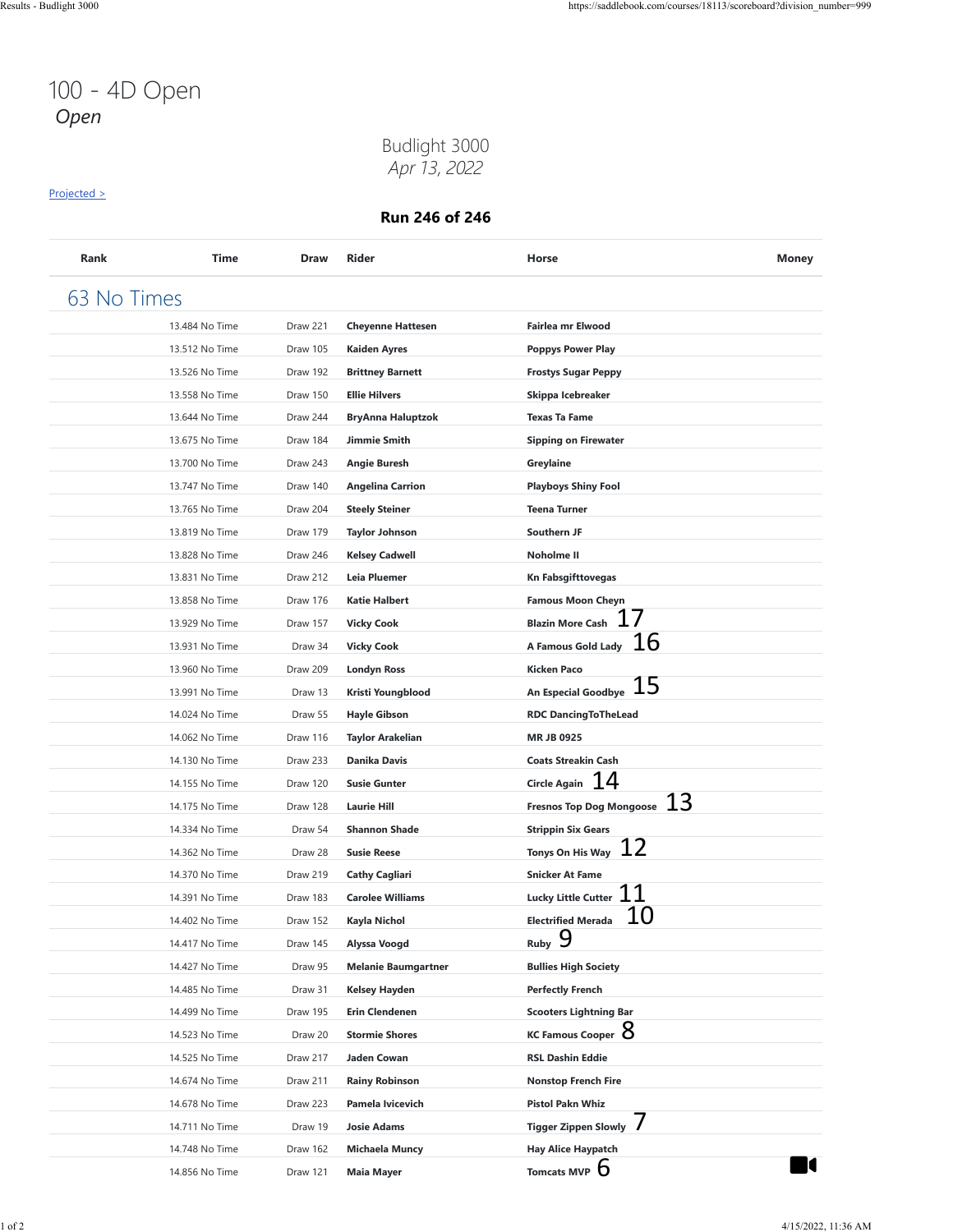### Budlight 3000 *Apr 13, 2022*

#### [Projected >](https://saddlebook.com/courses/18113/scoreboard?division_number=999#payout-projection-18113)

| Rank        | <b>Time</b>    | Draw     | Rider                      | Horse                                   | <b>Money</b> |
|-------------|----------------|----------|----------------------------|-----------------------------------------|--------------|
| 63 No Times |                |          |                            |                                         |              |
|             | 13.484 No Time | Draw 221 | <b>Cheyenne Hattesen</b>   | <b>Fairlea mr Elwood</b>                |              |
|             | 13.512 No Time | Draw 105 | <b>Kaiden Ayres</b>        | <b>Poppys Power Play</b>                |              |
|             | 13.526 No Time | Draw 192 | <b>Brittney Barnett</b>    | <b>Frostys Sugar Peppy</b>              |              |
|             | 13.558 No Time | Draw 150 | <b>Ellie Hilvers</b>       | Skippa Icebreaker                       |              |
|             | 13.644 No Time | Draw 244 | <b>BryAnna Haluptzok</b>   | <b>Texas Ta Fame</b>                    |              |
|             | 13.675 No Time | Draw 184 | Jimmie Smith               | <b>Sipping on Firewater</b>             |              |
|             | 13.700 No Time | Draw 243 | Angie Buresh               | Greylaine                               |              |
|             | 13.747 No Time | Draw 140 | <b>Angelina Carrion</b>    | <b>Playboys Shiny Fool</b>              |              |
|             | 13.765 No Time | Draw 204 | <b>Steely Steiner</b>      | <b>Teena Turner</b>                     |              |
|             | 13.819 No Time | Draw 179 | Taylor Johnson             | Southern JF                             |              |
|             | 13.828 No Time | Draw 246 | <b>Kelsey Cadwell</b>      | <b>Noholme II</b>                       |              |
|             | 13.831 No Time | Draw 212 | Leia Pluemer               | Kn Fabsgifttovegas                      |              |
|             | 13.858 No Time | Draw 176 | <b>Katie Halbert</b>       | <b>Famous Moon Cheyn</b>                |              |
|             | 13.929 No Time | Draw 157 | <b>Vicky Cook</b>          | <b>Blazin More Cash</b>                 |              |
|             | 13.931 No Time | Draw 34  | <b>Vicky Cook</b>          | 16<br>A Famous Gold Lady                |              |
|             | 13.960 No Time | Draw 209 | <b>Londyn Ross</b>         | Kicken Paco                             |              |
|             | 13.991 No Time | Draw 13  | Kristi Youngblood          | 15<br>An Especial Goodbye               |              |
|             | 14.024 No Time | Draw 55  | <b>Hayle Gibson</b>        | <b>RDC DancingToTheLead</b>             |              |
|             | 14.062 No Time | Draw 116 | <b>Taylor Arakelian</b>    | <b>MRJB0925</b>                         |              |
|             | 14.130 No Time | Draw 233 | Danika Davis               | <b>Coats Streakin Cash</b>              |              |
|             | 14.155 No Time | Draw 120 | <b>Susie Gunter</b>        | Circle Again $14$                       |              |
|             | 14.175 No Time | Draw 128 | <b>Laurie Hill</b>         | 13<br><b>Fresnos Top Dog Mongoose</b>   |              |
|             | 14.334 No Time | Draw 54  | <b>Shannon Shade</b>       | <b>Strippin Six Gears</b>               |              |
|             | 14.362 No Time | Draw 28  | <b>Susie Reese</b>         | 12<br>Tonys On His Way                  |              |
|             | 14.370 No Time | Draw 219 | <b>Cathy Cagliari</b>      | <b>Snicker At Fame</b>                  |              |
|             | 14.391 No Time | Draw 183 | <b>Carolee Williams</b>    | Lucky Little Cutter $\,11\,$            |              |
|             | 14.402 No Time | Draw 152 | Kayla Nichol               | 10<br><b>Electrified Merada</b>         |              |
|             | 14.417 No Time | Draw 145 | Alyssa Voogd               | $Ruby$ 9                                |              |
|             | 14.427 No Time | Draw 95  | <b>Melanie Baumgartner</b> | <b>Bullies High Society</b>             |              |
|             | 14.485 No Time | Draw 31  | Kelsey Hayden              | Perfectly French                        |              |
|             | 14.499 No Time | Draw 195 | <b>Erin Clendenen</b>      | <b>Scooters Lightning Bar</b>           |              |
|             | 14.523 No Time | Draw 20  | <b>Stormie Shores</b>      | KC Famous Cooper $8$                    |              |
|             | 14.525 No Time | Draw 217 | Jaden Cowan                | <b>RSL Dashin Eddie</b>                 |              |
|             | 14.674 No Time | Draw 211 | <b>Rainy Robinson</b>      | <b>Nonstop French Fire</b>              |              |
|             | 14.678 No Time | Draw 223 | Pamela Ivicevich           | <b>Pistol Pakn Whiz</b>                 |              |
|             | 14.711 No Time | Draw 19  | Josie Adams                | $\prime$<br><b>Tigger Zippen Slowly</b> |              |
|             | 14.748 No Time | Draw 162 | <b>Michaela Muncy</b>      | <b>Hay Alice Haypatch</b>               |              |
|             | 14.856 No Time | Draw 121 | <b>Maia Mayer</b>          | Tomcats MVP D                           | l            |